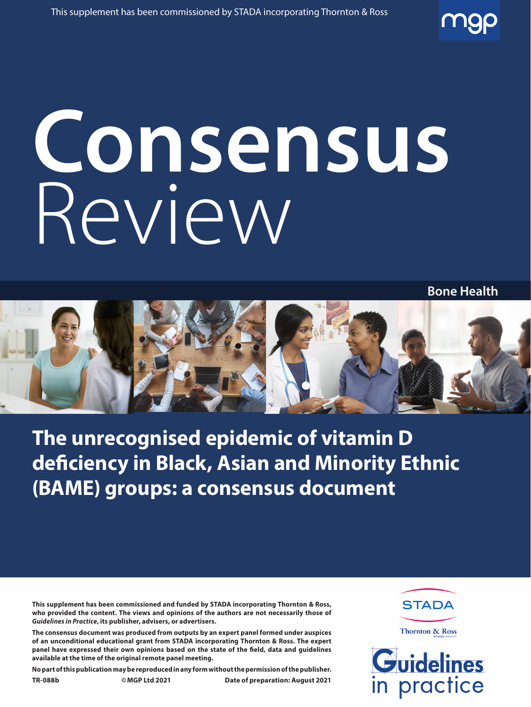# **Consensus** Review



**The unrecognised epidemic of vitamin D deficiency in Black, Asian and Minority Ethnic (BAME) groups: a consensus document**

**This supplement has been commissioned and funded by STADA incorporating Thornton & Ross, who provided the content. The views and opinions of the authors are not necessarily those of**  *Guidelines in Practice***, its publisher, advisers, or advertisers.**

**The consensus document was produced from outputs by an expert panel formed under auspices of an unconditional educational grant from STADA incorporating Thornton & Ross. The expert panel have expressed their own opinions based on the state of the field, data and guidelines available at the time of the original remote panel meeting.**

**No part of this publication may be reproduced in any form without the permission of the publisher.**

**TR-088b ©MGP Ltd 2021 Date of preparation: August 2021**

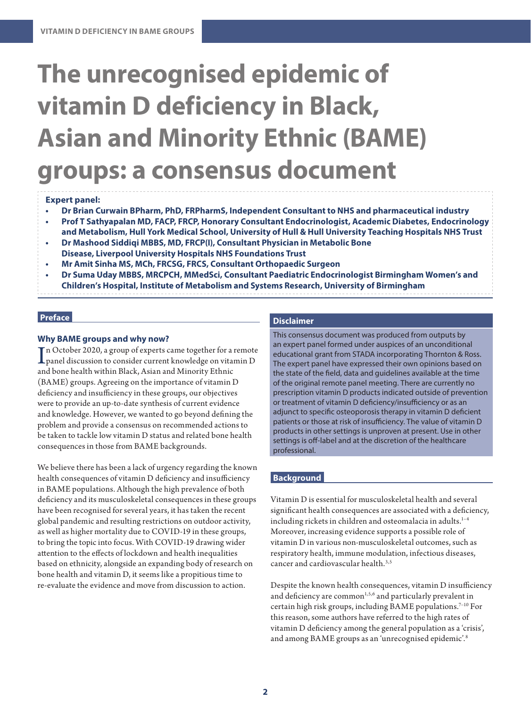# **The unrecognised epidemic of vitamin D deficiency in Black, Asian and Minority Ethnic (BAME) groups: a consensus document**

#### **Expert panel:**

- **• Dr Brian Curwain BPharm, PhD, FRPharmS, Independent Consultant to NHS and pharmaceutical industry**
- **• Prof T Sathyapalan MD, FACP, FRCP, Honorary Consultant Endocrinologist, Academic Diabetes, Endocrinology and Metabolism, Hull York Medical School, University of Hull & Hull University Teaching Hospitals NHS Trust**
- **• Dr Mashood Siddiqi MBBS, MD, FRCP(I), Consultant Physician in Metabolic Bone Disease, Liverpool University Hospitals NHS Foundations Trust**
- **• Mr Amit Sinha MS, MCh, FRCSG, FRCS, Consultant Orthopaedic Surgeon**
- **• Dr Suma Uday MBBS, MRCPCH, MMedSci, Consultant Paediatric Endocrinologist Birmingham Women's and Children's Hospital, Institute of Metabolism and Systems Research, University of Birmingham**

# **Preface**

# **Why BAME groups and why now?**

In October 2020, a group of experts came together for a remote<br>panel discussion to consider current knowledge on vitamin D<br>and bane health vithin Black, Asian and Minerity Ethnic n October 2020, a group of experts came together for a remote and bone health within Black, Asian and Minority Ethnic (BAME) groups. Agreeing on the importance of vitamin D deficiency and insufficiency in these groups, our objectives were to provide an up-to-date synthesis of current evidence and knowledge. However, we wanted to go beyond defining the problem and provide a consensus on recommended actions to be taken to tackle low vitamin D status and related bone health consequences in those from BAME backgrounds.

We believe there has been a lack of urgency regarding the known health consequences of vitamin D deficiency and insufficiency in BAME populations. Although the high prevalence of both deficiency and its musculoskeletal consequences in these groups have been recognised for several years, it has taken the recent global pandemic and resulting restrictions on outdoor activity, as well as higher mortality due to COVID-19 in these groups, to bring the topic into focus. With COVID-19 drawing wider attention to the effects of lockdown and health inequalities based on ethnicity, alongside an expanding body of research on bone health and vitamin D, it seems like a propitious time to re-evaluate the evidence and move from discussion to action.

# **Disclaimer**

This consensus document was produced from outputs by an expert panel formed under auspices of an unconditional educational grant from STADA incorporating Thornton & Ross. The expert panel have expressed their own opinions based on the state of the field, data and guidelines available at the time of the original remote panel meeting. There are currently no prescription vitamin D products indicated outside of prevention or treatment of vitamin D deficiency/insufficiency or as an adjunct to specific osteoporosis therapy in vitamin D deficient patients or those at risk of insufficiency. The value of vitamin D products in other settings is unproven at present. Use in other settings is off-label and at the discretion of the healthcare professional.

# **Background**

Vitamin D is essential for musculoskeletal health and several significant health consequences are associated with a deficiency, including rickets in children and osteomalacia in adults.<sup>1-4</sup> Moreover, increasing evidence supports a possible role of vitamin D in various non-musculoskeletal outcomes, such as respiratory health, immune modulation, infectious diseases, cancer and cardiovascular health.3,5

Despite the known health consequences, vitamin D insufficiency and deficiency are common<sup>1,5,6</sup> and particularly prevalent in certain high risk groups, including BAME populations.7–10 For this reason, some authors have referred to the high rates of vitamin D deficiency among the general population as a 'crisis', and among BAME groups as an 'unrecognised epidemic'.8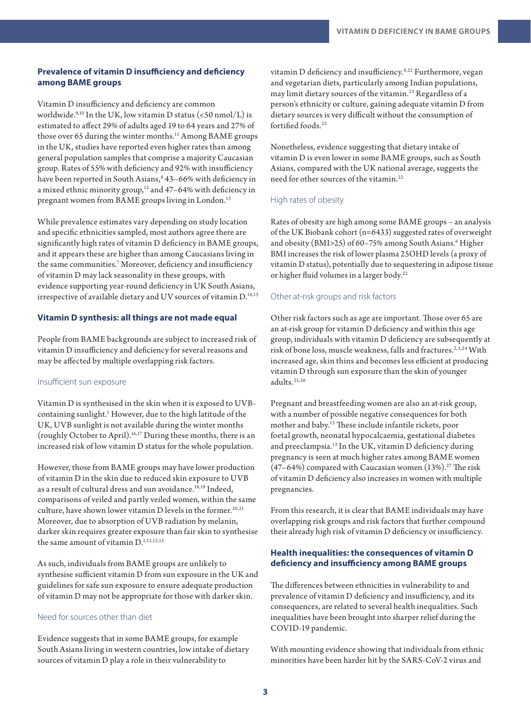# **Prevalence of vitamin D insufficiency and deficiency among BAME groups**

Vitamin D insufficiency and deficiency are common worldwide. $9,10$  In the UK, low vitamin D status (<50 nmol/L) is estimated to affect 29% of adults aged 19 to 64 years and 27% of those over 65 during the winter months.<sup>11</sup> Among BAME groups in the UK, studies have reported even higher rates than among general population samples that comprise a majority Caucasian group. Rates of 55% with deficiency and 92% with insufficiency have been reported in South Asians, $^{\text{8}}$  43–66% with deficiency in a mixed ethnic minority group,<sup>12</sup> and 47–64% with deficiency in pregnant women from BAME groups living in London.<sup>13</sup>

While prevalence estimates vary depending on study location and specific ethnicities sampled, most authors agree there are significantly high rates of vitamin D deficiency in BAME groups, and it appears these are higher than among Caucasians living in the same communities.7 Moreover, deficiency and insufficiency of vitamin D may lack seasonality in these groups, with evidence supporting year-round deficiency in UK South Asians, irrespective of available dietary and UV sources of vitamin D.<sup>14,15</sup>

#### **Vitamin D synthesis: all things are not made equal**

People from BAME backgrounds are subject to increased risk of vitamin D insufficiency and deficiency for several reasons and may be affected by multiple overlapping risk factors.

#### Insufficient sun exposure

Vitamin D is synthesised in the skin when it is exposed to UVBcontaining sunlight.<sup>1</sup> However, due to the high latitude of the UK, UVB sunlight is not available during the winter months (roughly October to April).16,17 During these months, there is an increased risk of low vitamin D status for the whole population.

However, those from BAME groups may have lower production of vitamin D in the skin due to reduced skin exposure to UVB as a result of cultural dress and sun avoidance.<sup>18,19</sup> Indeed, comparisons of veiled and partly veiled women, within the same culture, have shown lower vitamin D levels in the former.<sup>20,21</sup> Moreover, due to absorption of UVB radiation by melanin, darker skin requires greater exposure than fair skin to synthesise the same amount of vitamin D.<sup>1,11,13,15</sup>

As such, individuals from BAME groups are unlikely to synthesise sufficient vitamin D from sun exposure in the UK and guidelines for safe sun exposure to ensure adequate production of vitamin D may not be appropriate for those with darker skin.

## Need for sources other than diet

Evidence suggests that in some BAME groups, for example South Asians living in western countries, low intake of dietary sources of vitamin D play a role in their vulnerability to

vitamin D deficiency and insufficiency.8,22 Furthermore, vegan and vegetarian diets, particularly among Indian populations, may limit dietary sources of the vitamin.23 Regardless of a person's ethnicity or culture, gaining adequate vitamin D from dietary sources is very difficult without the consumption of fortified foods.<sup>22</sup>

Nonetheless, evidence suggesting that dietary intake of vitamin D is even lower in some BAME groups, such as South Asians, compared with the UK national average, suggests the need for other sources of the vitamin.<sup>22</sup>

#### High rates of obesity

Rates of obesity are high among some BAME groups – an analysis of the UK Biobank cohort (n=6433) suggested rates of overweight and obesity (BMI>25) of 60–75% among South Asians.<sup>6</sup> Higher BMI increases the risk of lower plasma 25OHD levels (a proxy of vitamin D status), potentially due to sequestering in adipose tissue or higher fluid volumes in a larger body.<sup>22</sup>

#### Other at-risk groups and risk factors

Other risk factors such as age are important. Those over 65 are an at-risk group for vitamin D deficiency and within this age group, individuals with vitamin D deficiency are subsequently at risk of bone loss, muscle weakness, falls and fractures.<sup>2,3,24</sup> With increased age, skin thins and becomes less efficient at producing vitamin D through sun exposure than the skin of younger adults.25,26

Pregnant and breastfeeding women are also an at-risk group, with a number of possible negative consequences for both mother and baby.13 These include infantile rickets, poor foetal growth, neonatal hypocalcaemia, gestational diabetes and preeclampsia.13 In the UK, vitamin D deficiency during pregnancy is seen at much higher rates among BAME women (47–64%) compared with Caucasian women  $(13%)$ .<sup>27</sup> The risk of vitamin D deficiency also increases in women with multiple pregnancies.

From this research, it is clear that BAME individuals may have overlapping risk groups and risk factors that further compound their already high risk of vitamin D deficiency or insufficiency.

# **Health inequalities: the consequences of vitamin D deficiency and insufficiency among BAME groups**

The differences between ethnicities in vulnerability to and prevalence of vitamin D deficiency and insufficiency, and its consequences, are related to several health inequalities. Such inequalities have been brought into sharper relief during the COVID-19 pandemic.

With mounting evidence showing that individuals from ethnic minorities have been harder hit by the SARS-CoV-2 virus and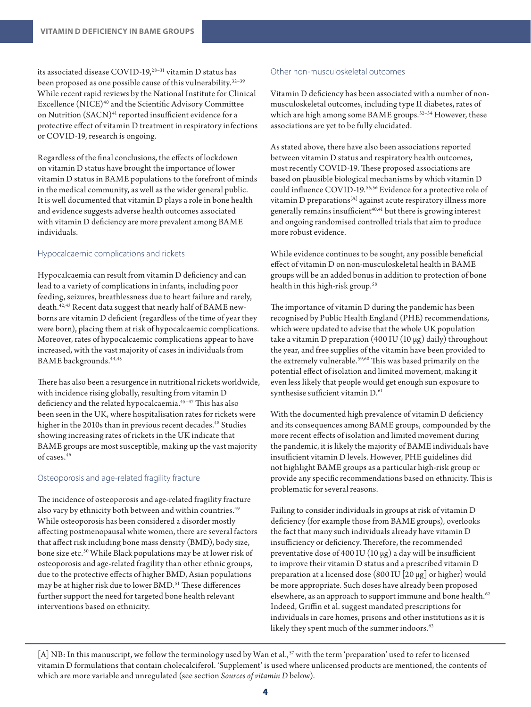its associated disease COVID-19,28–31 vitamin D status has been proposed as one possible cause of this vulnerability.<sup>32-39</sup> While recent rapid reviews by the National Institute for Clinical Excellence (NICE)40 and the Scientific Advisory Committee on Nutrition (SACN)<sup>41</sup> reported insufficient evidence for a protective effect of vitamin D treatment in respiratory infections or COVID-19, research is ongoing.

Regardless of the final conclusions, the effects of lockdown on vitamin D status have brought the importance of lower vitamin D status in BAME populations to the forefront of minds in the medical community, as well as the wider general public. It is well documented that vitamin D plays a role in bone health and evidence suggests adverse health outcomes associated with vitamin D deficiency are more prevalent among BAME individuals.

# Hypocalcaemic complications and rickets

Hypocalcaemia can result from vitamin D deficiency and can lead to a variety of complications in infants, including poor feeding, seizures, breathlessness due to heart failure and rarely, death.42,43 Recent data suggest that nearly half of BAME newborns are vitamin D deficient (regardless of the time of year they were born), placing them at risk of hypocalcaemic complications. Moreover, rates of hypocalcaemic complications appear to have increased, with the vast majority of cases in individuals from BAME backgrounds.44,45

There has also been a resurgence in nutritional rickets worldwide, with incidence rising globally, resulting from vitamin D deficiency and the related hypocalcaemia.45–47 This has also been seen in the UK, where hospitalisation rates for rickets were higher in the 2010s than in previous recent decades.<sup>48</sup> Studies showing increasing rates of rickets in the UK indicate that BAME groups are most susceptible, making up the vast majority of cases.46

# Osteoporosis and age-related fragility fracture

The incidence of osteoporosis and age-related fragility fracture also vary by ethnicity both between and within countries.<sup>49</sup> While osteoporosis has been considered a disorder mostly affecting postmenopausal white women, there are several factors that affect risk including bone mass density (BMD), body size, bone size etc.50 While Black populations may be at lower risk of osteoporosis and age-related fragility than other ethnic groups, due to the protective effects of higher BMD, Asian populations may be at higher risk due to lower BMD.<sup>51</sup> These differences further support the need for targeted bone health relevant interventions based on ethnicity.

# Other non-musculoskeletal outcomes

Vitamin D deficiency has been associated with a number of nonmusculoskeletal outcomes, including type II diabetes, rates of which are high among some BAME groups.<sup>52-54</sup> However, these associations are yet to be fully elucidated.

As stated above, there have also been associations reported between vitamin D status and respiratory health outcomes, most recently COVID-19. These proposed associations are based on plausible biological mechanisms by which vitamin D could influence COVID-19.<sup>55,56</sup> Evidence for a protective role of vitamin D preparations<sup>[A]</sup> against acute respiratory illness more generally remains insufficient $40,41$  but there is growing interest and ongoing randomised controlled trials that aim to produce more robust evidence.

While evidence continues to be sought, any possible beneficial effect of vitamin D on non-musculoskeletal health in BAME groups will be an added bonus in addition to protection of bone health in this high-risk group.<sup>58</sup>

The importance of vitamin D during the pandemic has been recognised by Public Health England (PHE) recommendations, which were updated to advise that the whole UK population take a vitamin D preparation (400 IU (10  $\mu$ g) daily) throughout the year, and free supplies of the vitamin have been provided to the extremely vulnerable.<sup>59,60</sup> This was based primarily on the potential effect of isolation and limited movement, making it even less likely that people would get enough sun exposure to synthesise sufficient vitamin D.<sup>61</sup>

With the documented high prevalence of vitamin D deficiency and its consequences among BAME groups, compounded by the more recent effects of isolation and limited movement during the pandemic, it is likely the majority of BAME individuals have insufficient vitamin D levels. However, PHE guidelines did not highlight BAME groups as a particular high-risk group or provide any specific recommendations based on ethnicity. This is problematic for several reasons.

Failing to consider individuals in groups at risk of vitamin D deficiency (for example those from BAME groups), overlooks the fact that many such individuals already have vitamin D insufficiency or deficiency. Therefore, the recommended preventative dose of 400 IU (10 μg) a day will be insufficient to improve their vitamin D status and a prescribed vitamin D preparation at a licensed dose (800 IU [20 μg] or higher) would be more appropriate. Such doses have already been proposed elsewhere, as an approach to support immune and bone health.<sup>62</sup> Indeed, Griffin et al. suggest mandated prescriptions for individuals in care homes, prisons and other institutions as it is likely they spent much of the summer indoors.<sup>62</sup>

[A] NB: In this manuscript, we follow the terminology used by Wan et al.,<sup>57</sup> with the term 'preparation' used to refer to licensed vitamin D formulations that contain cholecalciferol. 'Supplement' is used where unlicensed products are mentioned, the contents of which are more variable and unregulated (see section *Sources of vitamin D* below).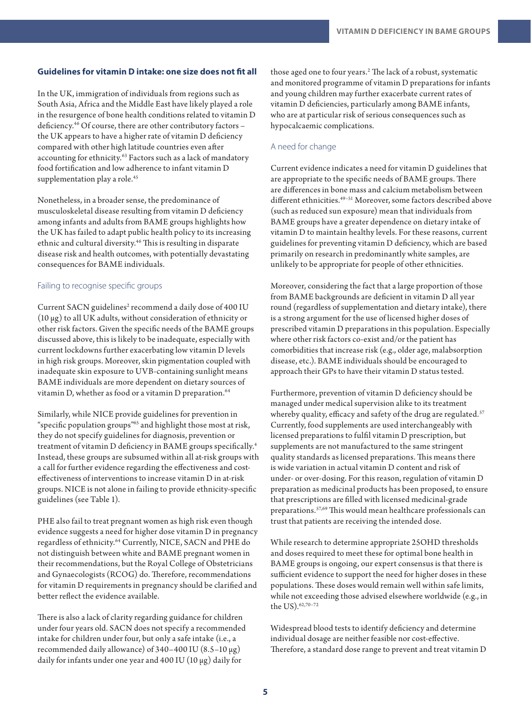# **Guidelines for vitamin D intake: one size does not fit all**

In the UK, immigration of individuals from regions such as South Asia, Africa and the Middle East have likely played a role in the resurgence of bone health conditions related to vitamin D deficiency.<sup>46</sup> Of course, there are other contributory factors the UK appears to have a higher rate of vitamin D deficiency compared with other high latitude countries even after accounting for ethnicity.63 Factors such as a lack of mandatory food fortification and low adherence to infant vitamin D supplementation play a role.<sup>45</sup>

Nonetheless, in a broader sense, the predominance of musculoskeletal disease resulting from vitamin D deficiency among infants and adults from BAME groups highlights how the UK has failed to adapt public health policy to its increasing ethnic and cultural diversity.<sup>46</sup> This is resulting in disparate disease risk and health outcomes, with potentially devastating consequences for BAME individuals.

#### Failing to recognise specific groups

Current SACN guidelines<sup>2</sup> recommend a daily dose of 400 IU (10 μg) to all UK adults, without consideration of ethnicity or other risk factors. Given the specific needs of the BAME groups discussed above, this is likely to be inadequate, especially with current lockdowns further exacerbating low vitamin D levels in high risk groups. Moreover, skin pigmentation coupled with inadequate skin exposure to UVB-containing sunlight means BAME individuals are more dependent on dietary sources of vitamin D, whether as food or a vitamin D preparation.<sup>64</sup>

Similarly, while NICE provide guidelines for prevention in "specific population groups"65 and highlight those most at risk, they do not specify guidelines for diagnosis, prevention or treatment of vitamin D deficiency in BAME groups specifically.<sup>4</sup> Instead, these groups are subsumed within all at-risk groups with a call for further evidence regarding the effectiveness and costeffectiveness of interventions to increase vitamin D in at-risk groups. NICE is not alone in failing to provide ethnicity-specific guidelines (see Table 1).

PHE also fail to treat pregnant women as high risk even though evidence suggests a need for higher dose vitamin D in pregnancy regardless of ethnicity.64 Currently, NICE, SACN and PHE do not distinguish between white and BAME pregnant women in their recommendations, but the Royal College of Obstetricians and Gynaecologists (RCOG) do. Therefore, recommendations for vitamin D requirements in pregnancy should be clarified and better reflect the evidence available.

There is also a lack of clarity regarding guidance for children under four years old. SACN does not specify a recommended intake for children under four, but only a safe intake (i.e., a recommended daily allowance) of  $340-400$  IU (8.5–10  $\mu$ g) daily for infants under one year and 400 IU (10 µg) daily for

those aged one to four years.2 The lack of a robust, systematic and monitored programme of vitamin D preparations for infants and young children may further exacerbate current rates of vitamin D deficiencies, particularly among BAME infants, who are at particular risk of serious consequences such as hypocalcaemic complications.

# A need for change

Current evidence indicates a need for vitamin D guidelines that are appropriate to the specific needs of BAME groups. There are differences in bone mass and calcium metabolism between different ethnicities.49–51 Moreover, some factors described above (such as reduced sun exposure) mean that individuals from BAME groups have a greater dependence on dietary intake of vitamin D to maintain healthy levels. For these reasons, current guidelines for preventing vitamin D deficiency, which are based primarily on research in predominantly white samples, are unlikely to be appropriate for people of other ethnicities.

Moreover, considering the fact that a large proportion of those from BAME backgrounds are deficient in vitamin D all year round (regardless of supplementation and dietary intake), there is a strong argument for the use of licensed higher doses of prescribed vitamin D preparations in this population. Especially where other risk factors co-exist and/or the patient has comorbidities that increase risk (e.g., older age, malabsorption disease, etc.). BAME individuals should be encouraged to approach their GPs to have their vitamin D status tested.

Furthermore, prevention of vitamin D deficiency should be managed under medical supervision alike to its treatment whereby quality, efficacy and safety of the drug are regulated.<sup>57</sup> Currently, food supplements are used interchangeably with licensed preparations to fulfil vitamin D prescription, but supplements are not manufactured to the same stringent quality standards as licensed preparations. This means there is wide variation in actual vitamin D content and risk of under- or over-dosing. For this reason, regulation of vitamin D preparation as medicinal products has been proposed, to ensure that prescriptions are filled with licensed medicinal-grade preparations.57,69 This would mean healthcare professionals can trust that patients are receiving the intended dose.

While research to determine appropriate 25OHD thresholds and doses required to meet these for optimal bone health in BAME groups is ongoing, our expert consensus is that there is sufficient evidence to support the need for higher doses in these populations. These doses would remain well within safe limits, while not exceeding those advised elsewhere worldwide (e.g., in the US).62,70–72

Widespread blood tests to identify deficiency and determine individual dosage are neither feasible nor cost-effective. Therefore, a standard dose range to prevent and treat vitamin D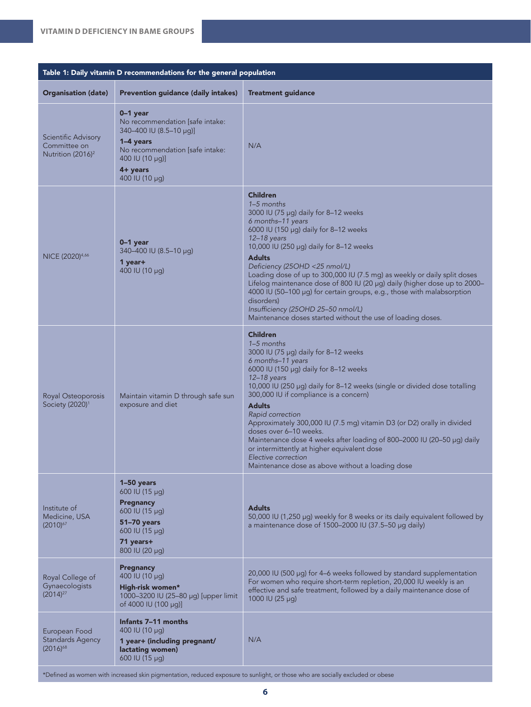| Table 1: Daily vitamin D recommendations for the general population  |                                                                                                                                                                           |                                                                                                                                                                                                                                                                                                                                                                                                                                                                                                                                                                                                                          |
|----------------------------------------------------------------------|---------------------------------------------------------------------------------------------------------------------------------------------------------------------------|--------------------------------------------------------------------------------------------------------------------------------------------------------------------------------------------------------------------------------------------------------------------------------------------------------------------------------------------------------------------------------------------------------------------------------------------------------------------------------------------------------------------------------------------------------------------------------------------------------------------------|
| <b>Organisation (date)</b>                                           | <b>Prevention guidance (daily intakes)</b>                                                                                                                                | <b>Treatment guidance</b>                                                                                                                                                                                                                                                                                                                                                                                                                                                                                                                                                                                                |
| Scientific Advisory<br>Committee on<br>Nutrition (2016) <sup>2</sup> | $0-1$ year<br>No recommendation [safe intake:<br>340-400 IU (8.5-10 µg)]<br>1-4 years<br>No recommendation [safe intake:<br>400 IU (10 µg)]<br>4+ years<br>400 IU (10 µg) | N/A                                                                                                                                                                                                                                                                                                                                                                                                                                                                                                                                                                                                                      |
| NICE (2020) <sup>4,66</sup>                                          | $0-1$ year<br>340-400 IU (8.5-10 µg)<br>1 year+<br>400 IU (10 µg)                                                                                                         | <b>Children</b><br>1-5 months<br>3000 IU (75 µg) daily for 8-12 weeks<br>6 months-11 years<br>6000 IU (150 µg) daily for 8-12 weeks<br>$12-18$ years<br>10,000 IU (250 µg) daily for 8-12 weeks<br><b>Adults</b><br>Deficiency (25OHD <25 nmol/L)<br>Loading dose of up to 300,000 IU (7.5 mg) as weekly or daily split doses<br>Lifelog maintenance dose of 800 IU (20 µg) daily (higher dose up to 2000-<br>4000 IU (50-100 µg) for certain groups, e.g., those with malabsorption<br>disorders)<br>Insufficiency (25OHD 25-50 nmol/L)<br>Maintenance doses started without the use of loading doses.                  |
| Royal Osteoporosis<br>Society (2020) <sup>1</sup>                    | Maintain vitamin D through safe sun<br>exposure and diet                                                                                                                  | <b>Children</b><br>1-5 months<br>3000 IU (75 µg) daily for 8-12 weeks<br>6 months-11 years<br>6000 IU (150 µg) daily for 8-12 weeks<br>$12-18$ years<br>10,000 IU (250 µg) daily for 8-12 weeks (single or divided dose totalling<br>300,000 IU if compliance is a concern)<br><b>Adults</b><br>Rapid correction<br>Approximately 300,000 IU (7.5 mg) vitamin D3 (or D2) orally in divided<br>doses over 6-10 weeks.<br>Maintenance dose 4 weeks after loading of 800-2000 IU (20-50 µg) daily<br>or intermittently at higher equivalent dose<br>Elective correction<br>Maintenance dose as above without a loading dose |
| Institute of<br>Medicine, USA<br>$(2010)^{67}$                       | 1-50 years<br>600 IU (15 µg)<br>Pregnancy<br>600 IU (15 µg)<br>51-70 years<br>600 IU (15 µg)<br>71 years+<br>800 IU (20 µg)                                               | <b>Adults</b><br>50,000 IU (1,250 µg) weekly for 8 weeks or its daily equivalent followed by<br>a maintenance dose of 1500-2000 IU (37.5-50 µg daily)                                                                                                                                                                                                                                                                                                                                                                                                                                                                    |
| Royal College of<br>Gynaecologists<br>$(2014)^{27}$                  | Pregnancy<br>400 IU (10 µg)<br>High-risk women*<br>1000-3200 IU (25-80 µg) [upper limit<br>of 4000 IU (100 µg)]                                                           | 20,000 IU (500 µg) for 4-6 weeks followed by standard supplementation<br>For women who require short-term repletion, 20,000 IU weekly is an<br>effective and safe treatment, followed by a daily maintenance dose of<br>1000 IU (25 µg)                                                                                                                                                                                                                                                                                                                                                                                  |
| European Food<br><b>Standards Agency</b><br>$(2016)^{68}$            | Infants 7-11 months<br>400 IU (10 $\mu$ g)<br>1 year+ (including pregnant/<br>lactating women)<br>600 IU (15 µg)                                                          | N/A                                                                                                                                                                                                                                                                                                                                                                                                                                                                                                                                                                                                                      |

\*Defined as women with increased skin pigmentation, reduced exposure to sunlight, or those who are socially excluded or obese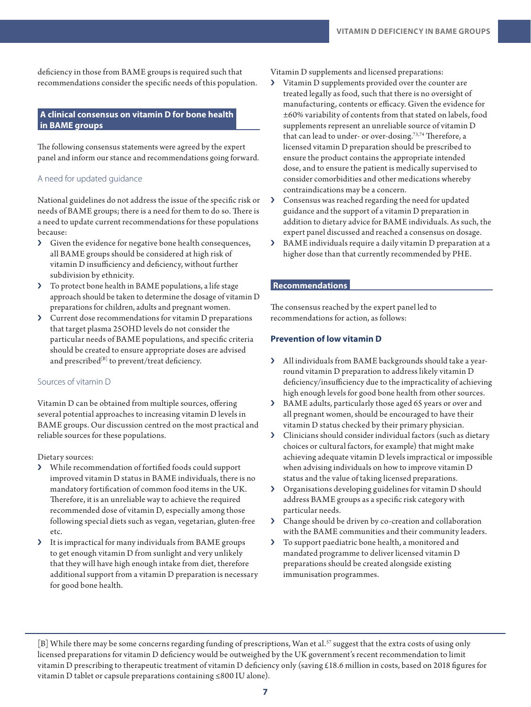deficiency in those from BAME groups is required such that recommendations consider the specific needs of this population.

# **A clinical consensus on vitamin D for bone health in BAME groups**

The following consensus statements were agreed by the expert panel and inform our stance and recommendations going forward.

#### A need for updated guidance

National guidelines do not address the issue of the specific risk or needs of BAME groups; there is a need for them to do so. There is a need to update current recommendations for these populations because:

- › Given the evidence for negative bone health consequences, all BAME groups should be considered at high risk of vitamin D insufficiency and deficiency, without further subdivision by ethnicity.
- › To protect bone health in BAME populations, a life stage approach should be taken to determine the dosage of vitamin D preparations for children, adults and pregnant women.
- › Current dose recommendations for vitamin D preparations that target plasma 25OHD levels do not consider the particular needs of BAME populations, and specific criteria should be created to ensure appropriate doses are advised and prescribed<sup>[B]</sup> to prevent/treat deficiency.

#### Sources of vitamin D

Vitamin D can be obtained from multiple sources, offering several potential approaches to increasing vitamin D levels in BAME groups. Our discussion centred on the most practical and reliable sources for these populations.

#### Dietary sources:

- › While recommendation of fortified foods could support improved vitamin D status in BAME individuals, there is no mandatory fortification of common food items in the UK. Therefore, it is an unreliable way to achieve the required recommended dose of vitamin D, especially among those following special diets such as vegan, vegetarian, gluten-free etc.
- › It is impractical for many individuals from BAME groups to get enough vitamin D from sunlight and very unlikely that they will have high enough intake from diet, therefore additional support from a vitamin D preparation is necessary for good bone health.

Vitamin D supplements and licensed preparations:

- › Vitamin D supplements provided over the counter are treated legally as food, such that there is no oversight of manufacturing, contents or efficacy. Given the evidence for ±60% variability of contents from that stated on labels, food supplements represent an unreliable source of vitamin D that can lead to under- or over-dosing.<sup>73,74</sup> Therefore, a licensed vitamin D preparation should be prescribed to ensure the product contains the appropriate intended dose, and to ensure the patient is medically supervised to consider comorbidities and other medications whereby contraindications may be a concern.
- › Consensus was reached regarding the need for updated guidance and the support of a vitamin D preparation in addition to dietary advice for BAME individuals. As such, the expert panel discussed and reached a consensus on dosage.
- › BAME individuals require a daily vitamin D preparation at a higher dose than that currently recommended by PHE.

#### **Recommendations**

The consensus reached by the expert panel led to recommendations for action, as follows:

#### **Prevention of low vitamin D**

- › All individuals from BAME backgrounds should take a yearround vitamin D preparation to address likely vitamin D deficiency/insufficiency due to the impracticality of achieving high enough levels for good bone health from other sources.
- › BAME adults, particularly those aged 65 years or over and all pregnant women, should be encouraged to have their vitamin D status checked by their primary physician.
- › Clinicians should consider individual factors (such as dietary choices or cultural factors, for example) that might make achieving adequate vitamin D levels impractical or impossible when advising individuals on how to improve vitamin D status and the value of taking licensed preparations.
- › Organisations developing guidelines for vitamin D should address BAME groups as a specific risk category with particular needs.
- › Change should be driven by co-creation and collaboration with the BAME communities and their community leaders.
- › To support paediatric bone health, a monitored and mandated programme to deliver licensed vitamin D preparations should be created alongside existing immunisation programmes.

<sup>[</sup>B] While there may be some concerns regarding funding of prescriptions, Wan et al.<sup>57</sup> suggest that the extra costs of using only licensed preparations for vitamin D deficiency would be outweighed by the UK government's recent recommendation to limit vitamin D prescribing to therapeutic treatment of vitamin D deficiency only (saving £18.6 million in costs, based on 2018 figures for vitamin D tablet or capsule preparations containing ≤800 IU alone).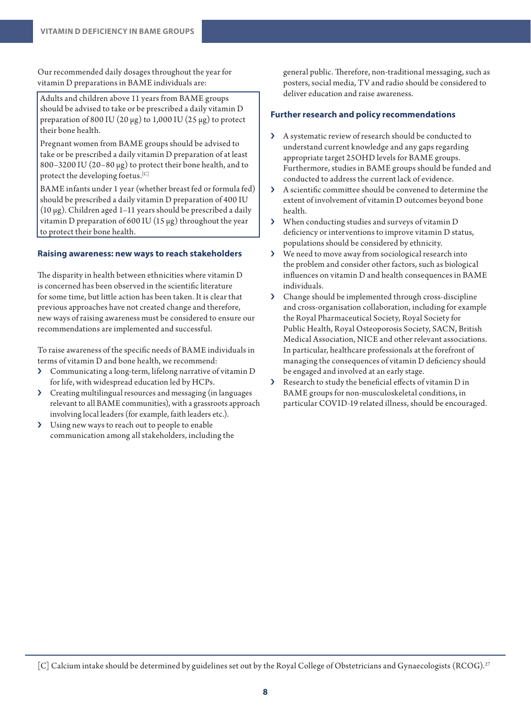Our recommended daily dosages throughout the year for vitamin D preparations in BAME individuals are:

Adults and children above 11 years from BAME groups should be advised to take or be prescribed a daily vitamin D preparation of 800 IU (20  $\mu$ g) to 1,000 IU (25  $\mu$ g) to protect their bone health.

Pregnant women from BAME groups should be advised to take or be prescribed a daily vitamin D preparation of at least 800–3200 IU (20–80 μg) to protect their bone health, and to protect the developing foetus.<sup>[C]</sup>

BAME infants under 1 year (whether breast fed or formula fed) should be prescribed a daily vitamin D preparation of 400 IU (10 μg). Children aged 1–11 years should be prescribed a daily vitamin D preparation of 600 IU (15  $\mu$ g) throughout the year to protect their bone health.

# **Raising awareness: new ways to reach stakeholders**

The disparity in health between ethnicities where vitamin D is concerned has been observed in the scientific literature for some time, but little action has been taken. It is clear that previous approaches have not created change and therefore, new ways of raising awareness must be considered to ensure our recommendations are implemented and successful.

To raise awareness of the specific needs of BAME individuals in terms of vitamin D and bone health, we recommend:

- › Communicating a long-term, lifelong narrative of vitamin D for life, with widespread education led by HCPs.
- › Creating multilingual resources and messaging (in languages relevant to all BAME communities), with a grassroots approach involving local leaders (for example, faith leaders etc.).
- › Using new ways to reach out to people to enable communication among all stakeholders, including the

general public. Therefore, non-traditional messaging, such as posters, social media, TV and radio should be considered to deliver education and raise awareness.

# **Further research and policy recommendations**

- › A systematic review of research should be conducted to understand current knowledge and any gaps regarding appropriate target 25OHD levels for BAME groups. Furthermore, studies in BAME groups should be funded and conducted to address the current lack of evidence.
- › A scientific committee should be convened to determine the extent of involvement of vitamin D outcomes beyond bone health.
- › When conducting studies and surveys of vitamin D deficiency or interventions to improve vitamin D status, populations should be considered by ethnicity.
- › We need to move away from sociological research into the problem and consider other factors, such as biological influences on vitamin D and health consequences in BAME individuals.
- › Change should be implemented through cross-discipline and cross-organisation collaboration, including for example the Royal Pharmaceutical Society, Royal Society for Public Health, Royal Osteoporosis Society, SACN, British Medical Association, NICE and other relevant associations. In particular, healthcare professionals at the forefront of managing the consequences of vitamin D deficiency should be engaged and involved at an early stage.
- › Research to study the beneficial effects of vitamin D in BAME groups for non-musculoskeletal conditions, in particular COVID-19 related illness, should be encouraged.

[C] Calcium intake should be determined by guidelines set out by the Royal College of Obstetricians and Gynaecologists (RCOG).<sup>27</sup>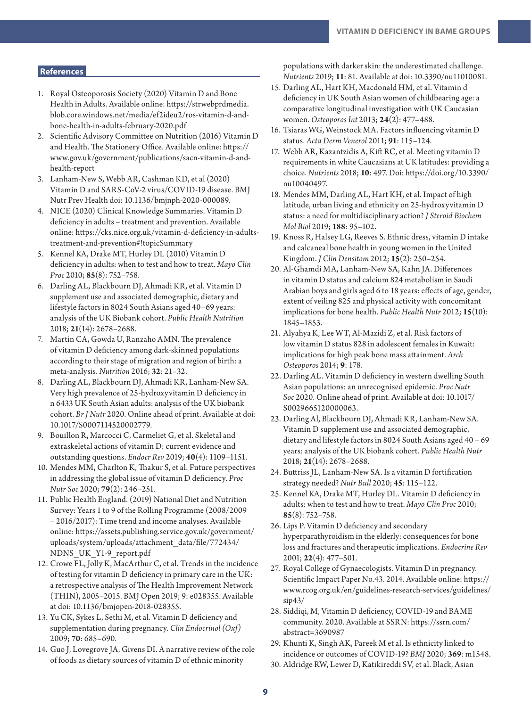# **References**

- 1. Royal Osteoporosis Society (2020) Vitamin D and Bone Health in Adults. Available online: [https://strwebprdmedia.](https://strwebprdmedia.blob.core.windows.net/media/ef2ideu2/ros-vitamin-d-and-bone-health-in-adults-february-2020.pdf) [blob.core.windows.net/media/ef2ideu2/ros-vitamin-d-and](https://strwebprdmedia.blob.core.windows.net/media/ef2ideu2/ros-vitamin-d-and-bone-health-in-adults-february-2020.pdf)[bone-health-in-adults-february-2020.pdf](https://strwebprdmedia.blob.core.windows.net/media/ef2ideu2/ros-vitamin-d-and-bone-health-in-adults-february-2020.pdf)
- 2. Scientific Advisory Committee on Nutrition (2016) Vitamin D and Health. The Stationery Office. Available online: [https://](https://www.gov.uk/government/publications/sacn-vitamin-d-and-health-report) [www.gov.uk/government/publications/sacn-vitamin-d-and](https://www.gov.uk/government/publications/sacn-vitamin-d-and-health-report)[health-report](https://www.gov.uk/government/publications/sacn-vitamin-d-and-health-report)
- 3. Lanham-New S, Webb AR, Cashman KD, et al (2020) Vitamin D and SARS-CoV-2 virus/COVID-19 disease. BMJ Nutr Prev Health doi: 10.1136/bmjnph-2020-000089.
- 4. NICE (2020) Clinical Knowledge Summaries. Vitamin D deficiency in adults – treatment and prevention. Available online: [https://cks.nice.org.uk/vitamin-d-deficiency-in-adults](https://cks.nice.org.uk/vitamin-d-deficiency-in-adults-treatment-and-prevention#!topicSummary)[treatment-and-prevention#!topicSummary](https://cks.nice.org.uk/vitamin-d-deficiency-in-adults-treatment-and-prevention#!topicSummary)
- 5. Kennel KA, Drake MT, Hurley DL (2010) Vitamin D deficiency in adults: when to test and how to treat. *Mayo Clin Proc* 2010; **85**(8): 752–758.
- 6. Darling AL, Blackbourn DJ, Ahmadi KR, et al. Vitamin D supplement use and associated demographic, dietary and lifestyle factors in 8024 South Asians aged 40–69 years: analysis of the UK Biobank cohort. *Public Health Nutrition* 2018; **21**(14): 2678–2688.
- 7. Martin CA, Gowda U, Ranzaho AMN. The prevalence of vitamin D deficiency among dark-skinned populations according to their stage of migration and region of birth: a meta-analysis. *Nutrition* 2016; **32**: 21–32.
- 8. Darling AL, Blackbourn DJ, Ahmadi KR, Lanham-New SA. Very high prevalence of 25-hydroxyvitamin D deficiency in n 6433 UK South Asian adults: analysis of the UK biobank cohort. *Br J Nutr* 2020. Online ahead of print. Available at doi: 10.1017/S0007114520002779.
- 9. Bouillon R, Marcocci C, Carmeliet G, et al. Skeletal and extraskeletal actions of vitamin D: current evidence and outstanding questions. *Endocr Rev* 2019; **40**(4): 1109–1151.
- 10. Mendes MM, Charlton K, Thakur S, et al. Future perspectives in addressing the global issue of vitamin D deficiency. *Proc Nutr Soc* 2020; **79**(2): 246–251.
- 11. Public Health England. (2019) National Diet and Nutrition Survey: Years 1 to 9 of the Rolling Programme (2008/2009 – 2016/2017): Time trend and income analyses. Available online: [https://assets.publishing.service.gov.uk/government/](https://assets.publishing.service.gov.uk/government/uploads/system/uploads/attachment_data/file/772434/NDNS_UK_Y1-9_report.pdf) [uploads/system/uploads/attachment\\_data/file/772434/](https://assets.publishing.service.gov.uk/government/uploads/system/uploads/attachment_data/file/772434/NDNS_UK_Y1-9_report.pdf) [NDNS\\_UK\\_Y1-9\\_report.pdf](https://assets.publishing.service.gov.uk/government/uploads/system/uploads/attachment_data/file/772434/NDNS_UK_Y1-9_report.pdf)
- 12. Crowe FL, Jolly K, MacArthur C, et al. Trends in the incidence of testing for vitamin D deficiency in primary care in the UK: a retrospective analysis of The Health Improvement Network (THIN), 2005–2015. BMJ Open 2019; 9: e028355. Available at doi: 10.1136/bmjopen-2018-028355.
- 13. Yu CK, Sykes L, Sethi M, et al. Vitamin D deficiency and supplementation during pregnancy. *Clin Endocrinol (Oxf)* 2009; **70**: 685–690.
- 14. Guo J, Lovegrove JA, Givens DI. A narrative review of the role of foods as dietary sources of vitamin D of ethnic minority

populations with darker skin: the underestimated challenge. *Nutrients* 2019; **11**: 81. Available at doi: 10.3390/nu11010081.

- 15. Darling AL, Hart KH, Macdonald HM, et al. Vitamin d deficiency in UK South Asian women of childbearing age: a comparative longitudinal investigation with UK Caucasian women. *Osteoporos Int* 2013; **24**(2): 477–488.
- 16. Tsiaras WG, Weinstock MA. Factors influencing vitamin D status. *Acta Derm Venerol* 2011; **91**: 115–124.
- 17. Webb AR, Kazantzidis A, Kift RC, et al. Meeting vitamin D requirements in white Caucasians at UK latitudes: providing a choice. *Nutrients* 2018; **10**: 497. Doi: https://doi.org/10.3390/ nu10040497.
- 18. Mendes MM, Darling AL, Hart KH, et al. Impact of high latitude, urban living and ethnicity on 25-hydroxyvitamin D status: a need for multidisciplinary action? *J Steroid Biochem Mol Biol* 2019; **188**: 95–102.
- 19. Knoss R, Halsey LG, Reeves S. Ethnic dress, vitamin D intake and calcaneal bone health in young women in the United Kingdom. *J Clin Densitom* 2012; **15**(2): 250–254.
- 20. Al-Ghamdi MA, Lanham-New SA, Kahn JA. Differences in vitamin D status and calcium 824 metabolism in Saudi Arabian boys and girls aged 6 to 18 years: effects of age, gender, extent of veiling 825 and physical activity with concomitant implications for bone health. *Public Health Nutr* 2012; **15**(10): 1845–1853.
- 21. Alyahya K, Lee WT, Al-Mazidi Z, et al. Risk factors of low vitamin D status 828 in adolescent females in Kuwait: implications for high peak bone mass attainment. *Arch Osteoporos* 2014; **9**: 178.
- 22. Darling AL. Vitamin D deficiency in western dwelling South Asian populations: an unrecognised epidemic. *Proc Nutr Soc* 2020. Online ahead of print. Available at doi: 10.1017/ S0029665120000063.
- 23. Darling Al, Blackbourn DJ, Ahmadi KR, Lanham-New SA. Vitamin D supplement use and associated demographic, dietary and lifestyle factors in 8024 South Asians aged 40 – 69 years: analysis of the UK biobank cohort. *Public Health Nutr*  2018; **21**(14): 2678–2688.
- 24. Buttriss JL, Lanham-New SA. Is a vitamin D fortification strategy needed? *Nutr Bull* 2020; **45**: 115–122.
- 25. Kennel KA, Drake MT, Hurley DL. Vitamin D deficiency in adults: when to test and how to treat. *Mayo Clin Proc* 2010; **85**(8): 752–758.
- 26. Lips P. Vitamin D deficiency and secondary hyperparathyroidism in the elderly: consequences for bone loss and fractures and therapeutic implications. *Endocrine Rev*  2001; **22**(4): 477–501.
- 27. Royal College of Gynaecologists. Vitamin D in pregnancy. Scientific Impact Paper No.43. 2014. Available online: [https://](https://www.rcog.org.uk/en/guidelines-research-services/guidelines/sip43/) [www.rcog.org.uk/en/guidelines-research-services/guidelines/](https://www.rcog.org.uk/en/guidelines-research-services/guidelines/sip43/) [sip43/](https://www.rcog.org.uk/en/guidelines-research-services/guidelines/sip43/)
- 28. Siddiqi, M, Vitamin D deficiency, COVID-19 and BAME community. 2020. Available at SSRN: [https://ssrn.com/](https://ssrn.com/abstract=3690987) [abstract=3690987](https://ssrn.com/abstract=3690987)
- 29. Khunti K, Singh AK, Pareek M et al. Is ethnicity linked to incidence or outcomes of COVID-19? *BMJ* 2020; **369**: m1548.
- 30. Aldridge RW, Lewer D, Katikireddi SV, et al. Black, Asian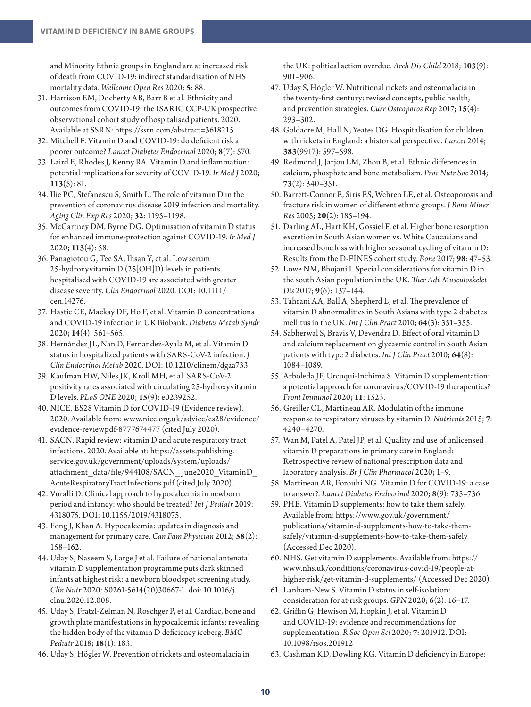and Minority Ethnic groups in England are at increased risk of death from COVID-19: indirect standardisation of NHS mortality data. *Wellcome Open Res* 2020; **5**: 88.

- 31. Harrison EM, Docherty AB, Barr B et al. Ethnicity and outcomes from COVID-19: the ISARIC CCP-UK prospective observational cohort study of hospitalised patients. 2020. Available at SSRN:<https://ssrn.com/abstract=3618215>
- 32. Mitchell F. Vitamin D and COVID-19: do deficient risk a poorer outcome? *Lancet Diabetes Endocrinol* 2020; **8**(7): 570.
- 33. Laird E, Rhodes J, Kenny RA. Vitamin D and inflammation: potential implications for severity of COVID-19. *Ir Med J* 2020; **113**(5): 81.
- 34. Ilie PC, Stefanescu S, Smith L. The role of vitamin D in the prevention of coronavirus disease 2019 infection and mortality. *Aging Clin Exp Res* 2020; **32**: 1195–1198.
- 35. McCartney DM, Byrne DG. Optimisation of vitamin D status for enhanced immune-protection against COVID-19. *Ir Med J* 2020; **113**(4): 58.
- 36. Panagiotou G, Tee SA, Ihsan Y, et al. Low serum 25-hydroxyvitamin D (25[OH]D) levels in patients hospitalised with COVID-19 are associated with greater disease severity. *Clin Endocrinol* 2020. DOI: 10.1111/ cen.14276.
- 37. Hastie CE, Mackay DF, Ho F, et al. Vitamin D concentrations and COVID-19 infection in UK Biobank. *Diabetes Metab Syndr*  2020; **14**(4): 561–565.
- 38. Hernández JL, Nan D, Fernandez-Ayala M, et al. Vitamin D status in hospitalized patients with SARS-CoV-2 infection. *J Clin Endocrinol Metab* 2020. DOI: 10.1210/clinem/dgaa733.
- 39. Kaufman HW, Niles JK, Kroll MH, et al. SARS-CoV-2 positivity rates associated with circulating 25-hydroxyvitamin D levels. *PLoS ONE* 2020; **15**(9): e0239252.
- 40. NICE. ES28 Vitamin D for COVID-19 (Evidence review). 2020. Available from: [www.nice.org.uk/advice/es28/evidence/](http://www.nice.org.uk/advice/es28/evidence/evidence-reviewpdf-8777674477) [evidence-reviewpdf-8777674477](http://www.nice.org.uk/advice/es28/evidence/evidence-reviewpdf-8777674477) (cited July 2020).
- 41. SACN. Rapid review: vitamin D and acute respiratory tract infections. 2020. Available at: [https://assets.publishing.](https://assets.publishing.service.gov.uk/government/uploads/system/uploads/attachment_data/file/944108/SACN_June2020_VitaminD_AcuteRespiratoryTractInfections.pdf) [service.gov.uk/government/uploads/system/uploads/](https://assets.publishing.service.gov.uk/government/uploads/system/uploads/attachment_data/file/944108/SACN_June2020_VitaminD_AcuteRespiratoryTractInfections.pdf) attachment\_data/file/944108/SACN\_June2020\_VitaminD [AcuteRespiratoryTractInfections.pdf](https://assets.publishing.service.gov.uk/government/uploads/system/uploads/attachment_data/file/944108/SACN_June2020_VitaminD_AcuteRespiratoryTractInfections.pdf) (cited July 2020).
- 42. Vuralli D. Clinical approach to hypocalcemia in newborn period and infancy: who should be treated? *Int J Pediatr* 2019: 4318075. DOI: 10.1155/2019/4318075.
- 43. Fong J, Khan A. Hypocalcemia: updates in diagnosis and management for primary care. *Can Fam Physician* 2012; **58**(2): 158–162.
- 44. Uday S, Naseem S, Large J et al. Failure of national antenatal vitamin D supplementation programme puts dark skinned infants at highest risk: a newborn bloodspot screening study. *Clin Nutr* 2020: S0261-5614(20)30667-1. doi: 10.1016/j. clnu.2020.12.008.
- 45. Uday S, Fratzl-Zelman N, Roschger P, et al. Cardiac, bone and growth plate manifestations in hypocalcemic infants: revealing the hidden body of the vitamin D deficiency iceberg. *BMC Pediatr* 2018; **18**(1): 183.
- 46. Uday S, Högler W. Prevention of rickets and osteomalacia in

the UK: political action overdue. *Arch Dis Child* 2018; **103**(9): 901–906.

- 47. Uday S, Högler W. Nutritional rickets and osteomalacia in the twenty-first century: revised concepts, public health, and prevention strategies. *Curr Osteoporos Rep* 2017; **15**(4): 293–302.
- 48. Goldacre M, Hall N, Yeates DG. Hospitalisation for children with rickets in England: a historical perspective. *Lancet* 2014; **383**(9917): 597–598.
- 49. Redmond J, Jarjou LM, Zhou B, et al. Ethnic differences in calcium, phosphate and bone metabolism. *Proc Nutr Soc* 2014; **73**(2): 340–351.
- 50. Barrett-Connor E, Siris ES, Wehren LE, et al. Osteoporosis and fracture risk in women of different ethnic groups. *J Bone Miner Res* 2005; **20**(2): 185–194.
- 51. Darling AL, Hart KH, Gossiel F, et al. Higher bone resorption excretion in South Asian women vs. White Caucasians and increased bone loss with higher seasonal cycling of vitamin D: Results from the D-FINES cohort study. *Bone* 2017; **98**: 47–53.
- 52. Lowe NM, Bhojani I. Special considerations for vitamin D in the south Asian population in the UK. *Ther Adv Musculoskelet Dis* 2017; **9**(6): 137–144.
- 53. Tahrani AA, Ball A, Shepherd L, et al. The prevalence of vitamin D abnormalities in South Asians with type 2 diabetes mellitus in the UK. *Int J Clin Pract* 2010; **64**(3): 351–355.
- 54. Sabherwal S, Bravis V, Devendra D. Effect of oral vitamin D and calcium replacement on glycaemic control in South Asian patients with type 2 diabetes. *Int J Clin Pract* 2010; **64**(8): 1084–1089.
- 55. Arboleda JF, Urcuqui-Inchima S. Vitamin D supplementation: a potential approach for coronavirus/COVID-19 therapeutics? *Front Immunol* 2020; **11**: 1523.
- 56. Greiller CL, Martineau AR. Modulatin of the immune response to respiratory viruses by vitamin D. *Nutrients* 2015; **7**: 4240–4270.
- 57. Wan M, Patel A, Patel JP, et al. Quality and use of unlicensed vitamin D preparations in primary care in England: Retrospective review of national prescription data and laboratory analysis. *Br J Clin Pharmacol* 2020; 1–9.
- 58. Martineau AR, Forouhi NG. Vitamin D for COVID-19: a case to answer?. *Lancet Diabetes Endocrinol* 2020; **8**(9): 735–736.
- 59. PHE. Vitamin D supplements: how to take them safely. Available from: [https://www.gov.uk/government/](https://www.gov.uk/government/publications/vitamin-d-supplements-how-to-take-them-safely/vitamin-d-supplements-how-to-take-them-safely) [publications/vitamin-d-supplements-how-to-take-them](https://www.gov.uk/government/publications/vitamin-d-supplements-how-to-take-them-safely/vitamin-d-supplements-how-to-take-them-safely)[safely/vitamin-d-supplements-how-to-take-them-safely](https://www.gov.uk/government/publications/vitamin-d-supplements-how-to-take-them-safely/vitamin-d-supplements-how-to-take-them-safely) (Accessed Dec 2020).
- 60. NHS. Get vitamin D supplements. Available from: [https://](https://www.nhs.uk/conditions/coronavirus-covid-19/people-at-higher-risk/get-vitamin-d-supplements/) [www.nhs.uk/conditions/coronavirus-covid-19/people-at](https://www.nhs.uk/conditions/coronavirus-covid-19/people-at-higher-risk/get-vitamin-d-supplements/)[higher-risk/get-vitamin-d-supplements/](https://www.nhs.uk/conditions/coronavirus-covid-19/people-at-higher-risk/get-vitamin-d-supplements/) (Accessed Dec 2020).
- 61. Lanham-New S. Vitamin D status in self-isolation: consideration for at-risk groups. *GPN* 2020; **6**(2): 16–17.
- 62. Griffin G, Hewison M, Hopkin J, et al. Vitamin D and COVID-19: evidence and recommendations for supplementation. *R Soc Open Sci* 2020; **7**: 201912. DOI: 10.1098/rsos.201912
- 63. Cashman KD, Dowling KG. Vitamin D deficiency in Europe: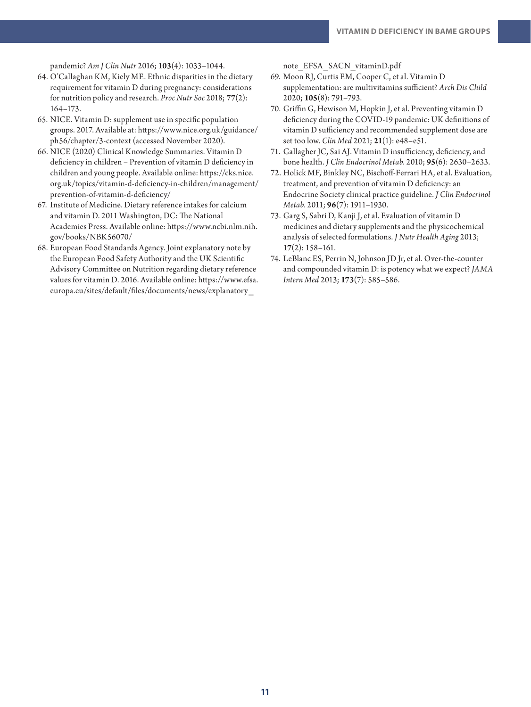pandemic? *Am J Clin Nutr* 2016; **103**(4): 1033–1044.

- 64. O'Callaghan KM, Kiely ME. Ethnic disparities in the dietary requirement for vitamin D during pregnancy: considerations for nutrition policy and research. *Proc Nutr Soc* 2018; **77**(2): 164–173.
- 65. NICE. Vitamin D: supplement use in specific population groups. 2017. Available at: [https://www.nice.org.uk/guidance/](https://www.nice.org.uk/guidance/ph56/chapter/3-context) [ph56/chapter/3-context](https://www.nice.org.uk/guidance/ph56/chapter/3-context) (accessed November 2020).
- 66. NICE (2020) Clinical Knowledge Summaries. Vitamin D deficiency in children – Prevention of vitamin D deficiency in children and young people. Available online: [https://cks.nice.](https://cks.nice.org.uk/topics/vitamin-d-deficiency-in-children/management/prevention-of-vitamin-d-deficiency/) [org.uk/topics/vitamin-d-deficiency-in-children/management/](https://cks.nice.org.uk/topics/vitamin-d-deficiency-in-children/management/prevention-of-vitamin-d-deficiency/) [prevention-of-vitamin-d-deficiency/](https://cks.nice.org.uk/topics/vitamin-d-deficiency-in-children/management/prevention-of-vitamin-d-deficiency/)
- 67. Institute of Medicine. Dietary reference intakes for calcium and vitamin D. 2011 Washington, DC: The National Academies Press. Available online: [https://www.ncbi.nlm.nih.](https://www.ncbi.nlm.nih.gov/books/NBK56070/) [gov/books/NBK56070/](https://www.ncbi.nlm.nih.gov/books/NBK56070/)
- 68. European Food Standards Agency. Joint explanatory note by the European Food Safety Authority and the UK Scientific Advisory Committee on Nutrition regarding dietary reference values for vitamin D. 2016. Available online: [https://www.efsa.](https://www.efsa.europa.eu/sites/default/files/documents/news/explanatory_note_EFSA_SACN_vitaminD.pdf) [europa.eu/sites/default/files/documents/news/explanatory\\_](https://www.efsa.europa.eu/sites/default/files/documents/news/explanatory_note_EFSA_SACN_vitaminD.pdf)

[note\\_EFSA\\_SACN\\_vitaminD.pdf](https://www.efsa.europa.eu/sites/default/files/documents/news/explanatory_note_EFSA_SACN_vitaminD.pdf)

- 69. Moon RJ, Curtis EM, Cooper C, et al. Vitamin D supplementation: are multivitamins sufficient? *Arch Dis Child*  2020; **105**(8): 791–793.
- 70. Griffin G, Hewison M, Hopkin J, et al. Preventing vitamin D deficiency during the COVID-19 pandemic: UK definitions of vitamin D sufficiency and recommended supplement dose are set too low. *Clin Med* 2021; **21**(1): e48–e51.
- 71. Gallagher JC, Sai AJ. Vitamin D insufficiency, deficiency, and bone health. *J Clin Endocrinol Metab*. 2010; **95**(6): 2630–2633.
- 72. Holick MF, Binkley NC, Bischoff-Ferrari HA, et al. Evaluation, treatment, and prevention of vitamin D deficiency: an Endocrine Society clinical practice guideline. *J Clin Endocrinol Metab*. 2011; **96**(7): 1911–1930.
- 73. Garg S, Sabri D, Kanji J, et al. Evaluation of vitamin D medicines and dietary supplements and the physicochemical analysis of selected formulations. *J Nutr Health Aging* 2013; **17**(2): 158–161.
- 74. LeBlanc ES, Perrin N, Johnson JD Jr, et al. Over-the-counter and compounded vitamin D: is potency what we expect? *JAMA Intern Med* 2013; **173**(7): 585–586.